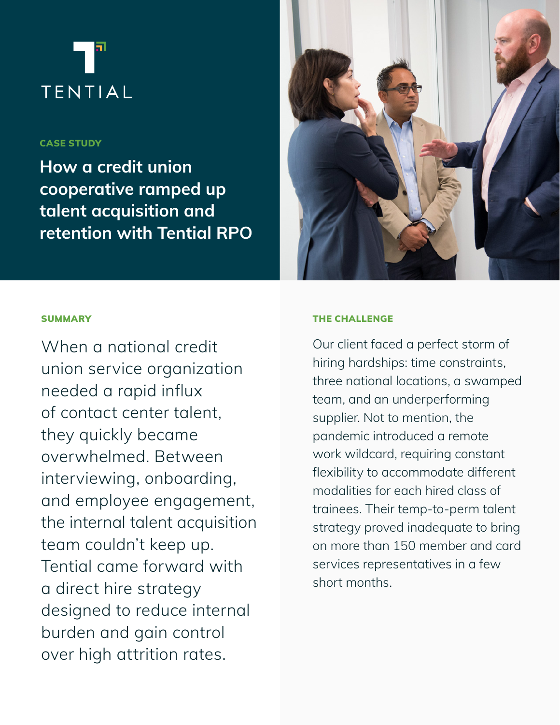# **TENTIAL**

# CASE STUDY

How a credit union cooperative ramped up talent acquisition and retention with Tential RPO



# **SUMMARY**

When a national credit union service organization needed a rapid influx of contact center talent, they quickly became overwhelmed. Between interviewing, onboarding, and employee engagement, the internal talent acquisition team couldn't keep up. Tential came forward with a direct hire strategy designed to reduce internal burden and gain control over high attrition rates.

## THE CHALLENGE

Our client faced a perfect storm of hiring hardships: time constraints, three national locations, a swamped team, and an underperforming supplier. Not to mention, the pandemic introduced a remote work wildcard, requiring constant flexibility to accommodate different modalities for each hired class of trainees. Their temp-to-perm talent strategy proved inadequate to bring on more than 150 member and card services representatives in a few short months.